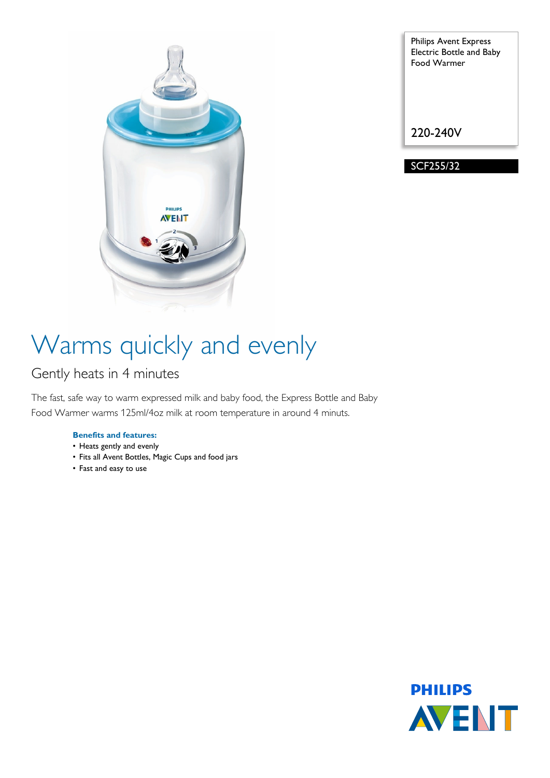

Philips Avent Express Electric Bottle and Baby Food Warmer

220-240V

SCF255/32

# Warms quickly and evenly

### Gently heats in 4 minutes

The fast, safe way to warm expressed milk and baby food, the Express Bottle and Baby Food Warmer warms 125ml/4oz milk at room temperature in around 4 minuts.

### **Benefits and features:**

- Heats gently and evenly
- Fits all Avent Bottles, Magic Cups and food jars
- Fast and easy to use